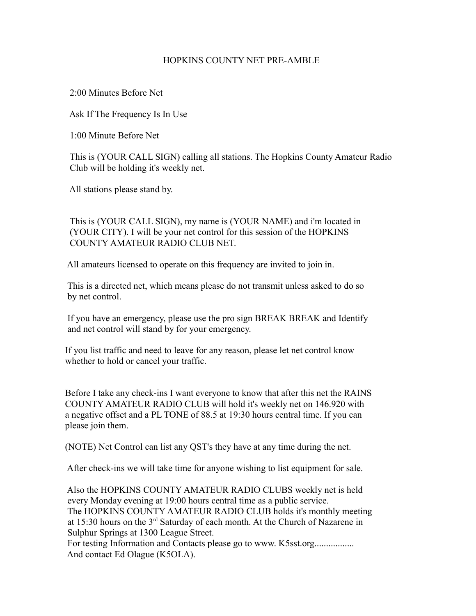## HOPKINS COUNTY NET PRE-AMBLE

2:00 Minutes Before Net

Ask If The Frequency Is In Use

1:00 Minute Before Net

 This is (YOUR CALL SIGN) calling all stations. The Hopkins County Amateur Radio Club will be holding it's weekly net.

All stations please stand by.

 This is (YOUR CALL SIGN), my name is (YOUR NAME) and i'm located in (YOUR CITY). I will be your net control for this session of the HOPKINS COUNTY AMATEUR RADIO CLUB NET.

All amateurs licensed to operate on this frequency are invited to join in.

 This is a directed net, which means please do not transmit unless asked to do so by net control.

 If you have an emergency, please use the pro sign BREAK BREAK and Identify and net control will stand by for your emergency.

 If you list traffic and need to leave for any reason, please let net control know whether to hold or cancel your traffic.

 Before I take any check-ins I want everyone to know that after this net the RAINS COUNTY AMATEUR RADIO CLUB will hold it's weekly net on 146.920 with a negative offset and a PL TONE of 88.5 at 19:30 hours central time. If you can please join them.

(NOTE) Net Control can list any QST's they have at any time during the net.

After check-ins we will take time for anyone wishing to list equipment for sale.

 Also the HOPKINS COUNTY AMATEUR RADIO CLUBS weekly net is held every Monday evening at 19:00 hours central time as a public service. The HOPKINS COUNTY AMATEUR RADIO CLUB holds it's monthly meeting at 15:30 hours on the 3rd Saturday of each month. At the Church of Nazarene in Sulphur Springs at 1300 League Street.

For testing Information and Contacts please go to www. K5sst.org................. And contact Ed Olague (K5OLA).